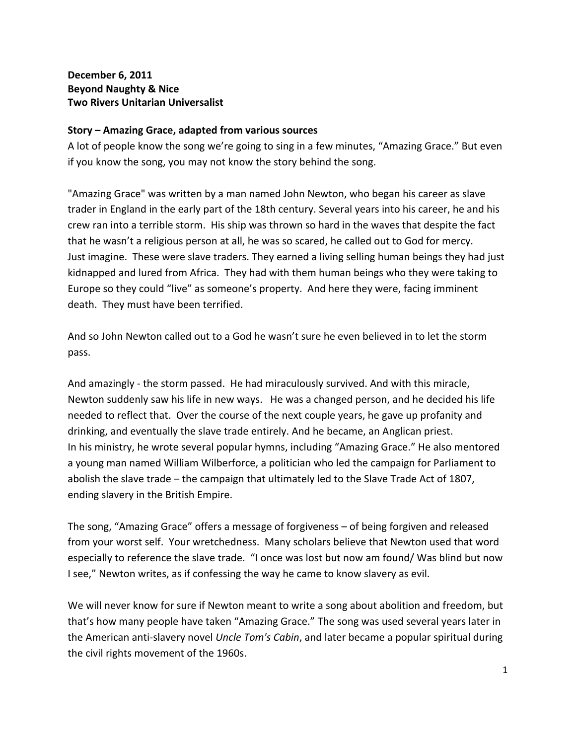## December 6, 2011 **Beyond Naughty & Nice Two Rivers Unitarian Universalist**

## **Story'–'Amazing'Grace,'adapted'from'various'sources'**

A lot of people know the song we're going to sing in a few minutes, "Amazing Grace." But even if you know the song, you may not know the story behind the song.

"Amazing Grace" was written by a man named John Newton, who began his career as slave trader in England in the early part of the 18th century. Several years into his career, he and his crew ran into a terrible storm. His ship was thrown so hard in the waves that despite the fact that he wasn't a religious person at all, he was so scared, he called out to God for mercy. Just imagine. These were slave traders. They earned a living selling human beings they had just kidnapped and lured from Africa. They had with them human beings who they were taking to Europe so they could "live" as someone's property. And here they were, facing imminent death. They must have been terrified.

And so John Newton called out to a God he wasn't sure he even believed in to let the storm pass.

And amazingly - the storm passed. He had miraculously survived. And with this miracle, Newton suddenly saw his life in new ways. "He was a changed person, and he decided his life" needed to reflect that. Over the course of the next couple years, he gave up profanity and drinking, and eventually the slave trade entirely. And he became, an Anglican priest. In his ministry, he wrote several popular hymns, including "Amazing Grace." He also mentored a young man named William Wilberforce, a politician who led the campaign for Parliament to abolish the slave trade – the campaign that ultimately led to the Slave Trade Act of 1807, ending slavery in the British Empire.

The song, "Amazing Grace" offers a message of forgiveness – of being forgiven and released from your worst self. Your wretchedness. Many scholars believe that Newton used that word especially to reference the slave trade. "I once was lost but now am found/ Was blind but now I see," Newton writes, as if confessing the way he came to know slavery as evil.

We will never know for sure if Newton meant to write a song about abolition and freedom, but that's how many people have taken "Amazing Grace." The song was used several years later in the American anti-slavery novel *Uncle Tom's Cabin*, and later became a popular spiritual during the civil rights movement of the 1960s.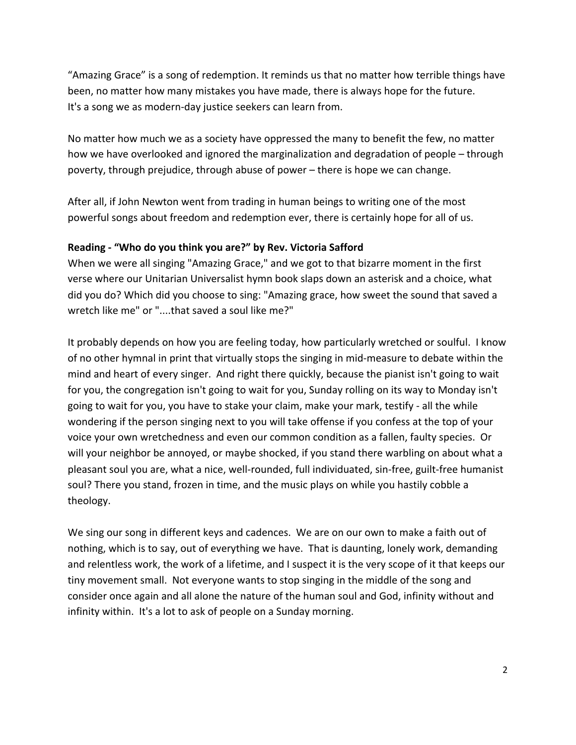"Amazing Grace" is a song of redemption. It reminds us that no matter how terrible things have been, no matter how many mistakes you have made, there is always hope for the future. It's a song we as modern-day justice seekers can learn from.

No matter how much we as a society have oppressed the many to benefit the few, no matter how we have overlooked and ignored the marginalization and degradation of people – through poverty, through prejudice, through abuse of power – there is hope we can change.

After all, if John Newton went from trading in human beings to writing one of the most powerful songs about freedom and redemption ever, there is certainly hope for all of us.

## Reading - "Who do you think you are?" by Rev. Victoria Safford

When we were all singing "Amazing Grace," and we got to that bizarre moment in the first verse where our Unitarian Universalist hymn book slaps down an asterisk and a choice, what did you do? Which did you choose to sing: "Amazing grace, how sweet the sound that saved a wretch like me" or "....that saved a soul like me?"

It probably depends on how you are feeling today, how particularly wretched or soulful. I know of no other hymnal in print that virtually stops the singing in mid-measure to debate within the mind and heart of every singer. And right there quickly, because the pianist isn't going to wait for you, the congregation isn't going to wait for you, Sunday rolling on its way to Monday isn't going to wait for you, you have to stake your claim, make your mark, testify - all the while wondering if the person singing next to you will take offense if you confess at the top of your voice your own wretchedness and even our common condition as a fallen, faulty species. Or will your neighbor be annoyed, or maybe shocked, if you stand there warbling on about what a pleasant soul you are, what a nice, well-rounded, full individuated, sin-free, guilt-free humanist soul? There you stand, frozen in time, and the music plays on while you hastily cobble a theology.

We sing our song in different keys and cadences. We are on our own to make a faith out of nothing, which is to say, out of everything we have. That is daunting, lonely work, demanding and relentless work, the work of a lifetime, and I suspect it is the very scope of it that keeps our tiny movement small. Not everyone wants to stop singing in the middle of the song and consider once again and all alone the nature of the human soul and God, infinity without and infinity within. It's a lot to ask of people on a Sunday morning.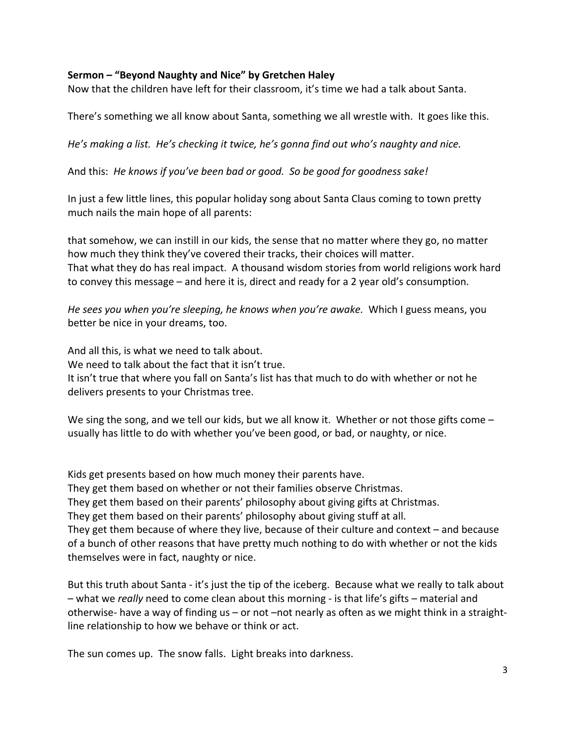## Sermon – "Beyond Naughty and Nice" by Gretchen Haley

Now that the children have left for their classroom, it's time we had a talk about Santa.

There's something we all know about Santa, something we all wrestle with. It goes like this.

*He's making a list. He's checking it twice, he's gonna find out who's naughty and nice.*"

And this: He knows if you've been bad or good. So be good for goodness sake!

In just a few little lines, this popular holiday song about Santa Claus coming to town pretty much nails the main hope of all parents:

that somehow, we can instill in our kids, the sense that no matter where they go, no matter how much they think they've covered their tracks, their choices will matter. That what they do has real impact. A thousand wisdom stories from world religions work hard to convey this message – and here it is, direct and ready for a 2 year old's consumption.

*He sees you when you're sleeping, he knows when you're awake.* Which I guess means, you better be nice in your dreams, too.

And all this, is what we need to talk about. We need to talk about the fact that it isn't true. It isn't true that where you fall on Santa's list has that much to do with whether or not he delivers presents to your Christmas tree.

We sing the song, and we tell our kids, but we all know it. Whether or not those gifts come – usually has little to do with whether you've been good, or bad, or naughty, or nice.

Kids get presents based on how much money their parents have.

They get them based on whether or not their families observe Christmas.

They get them based on their parents' philosophy about giving gifts at Christmas.

They get them based on their parents' philosophy about giving stuff at all.

They get them because of where they live, because of their culture and context – and because of a bunch of other reasons that have pretty much nothing to do with whether or not the kids themselves were in fact, naughty or nice.

But this truth about Santa - it's just the tip of the iceberg. Because what we really to talk about – what we *really* need to come clean about this morning - is that life's gifts – material and otherwise- have a way of finding us – or not –not nearly as often as we might think in a straightline relationship to how we behave or think or act.

The sun comes up. The snow falls. Light breaks into darkness.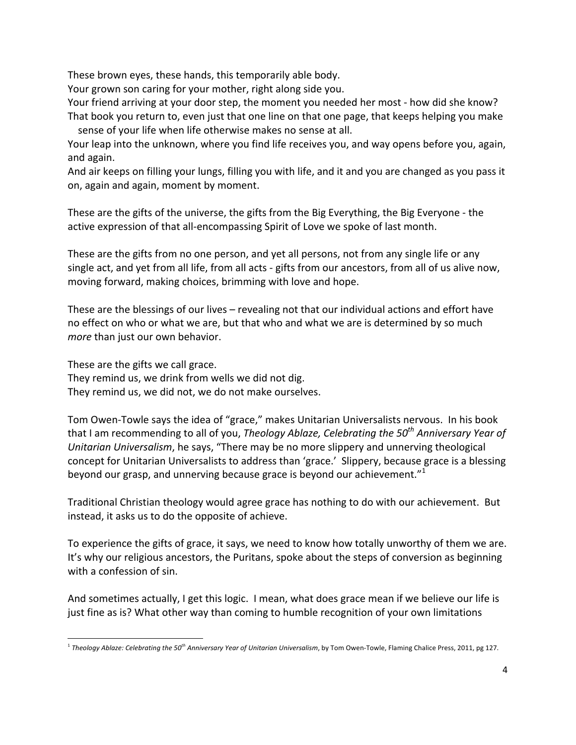These brown eyes, these hands, this temporarily able body.

Your grown son caring for your mother, right along side you.

Your friend arriving at your door step, the moment you needed her most - how did she know? That book you return to, even just that one line on that one page, that keeps helping you make

sense of your life when life otherwise makes no sense at all. Your leap into the unknown, where you find life receives you, and way opens before you, again, and again.

And air keeps on filling your lungs, filling you with life, and it and you are changed as you pass it on, again and again, moment by moment.

These are the gifts of the universe, the gifts from the Big Everything, the Big Everyone - the active expression of that all-encompassing Spirit of Love we spoke of last month.

These are the gifts from no one person, and yet all persons, not from any single life or any single act, and yet from all life, from all acts - gifts from our ancestors, from all of us alive now, moving forward, making choices, brimming with love and hope.

These are the blessings of our lives – revealing not that our individual actions and effort have no effect on who or what we are, but that who and what we are is determined by so much *more* than just our own behavior.

These are the gifts we call grace.

They remind us, we drink from wells we did not dig.

They remind us, we did not, we do not make ourselves.

Tom Owen-Towle says the idea of "grace," makes Unitarian Universalists nervous. In his book that I am recommending to all of you, *Theology Ablaze, Celebrating the 50<sup>th</sup> Anniversary Year of Unitarian Universalism*, he says, "There may be no more slippery and unnerving theological concept for Unitarian Universalists to address than 'grace.' Slippery, because grace is a blessing beyond our grasp, and unnerving because grace is beyond our achievement."<sup>1</sup>

Traditional Christian theology would agree grace has nothing to do with our achievement. But instead, it asks us to do the opposite of achieve.

To experience the gifts of grace, it says, we need to know how totally unworthy of them we are. It's why our religious ancestors, the Puritans, spoke about the steps of conversion as beginning with a confession of sin.

And sometimes actually, I get this logic. I mean, what does grace mean if we believe our life is just fine as is? What other way than coming to humble recognition of your own limitations

<sup>&</sup>quot;""""""""""""""""""""""""""""""""""""""""""""""""""""""""""" <sup>1</sup> Theology Ablaze: Celebrating the 50<sup>th</sup> Anniversary Year of Unitarian Universalism, by Tom Owen-Towle, Flaming Chalice Press, 2011, pg 127.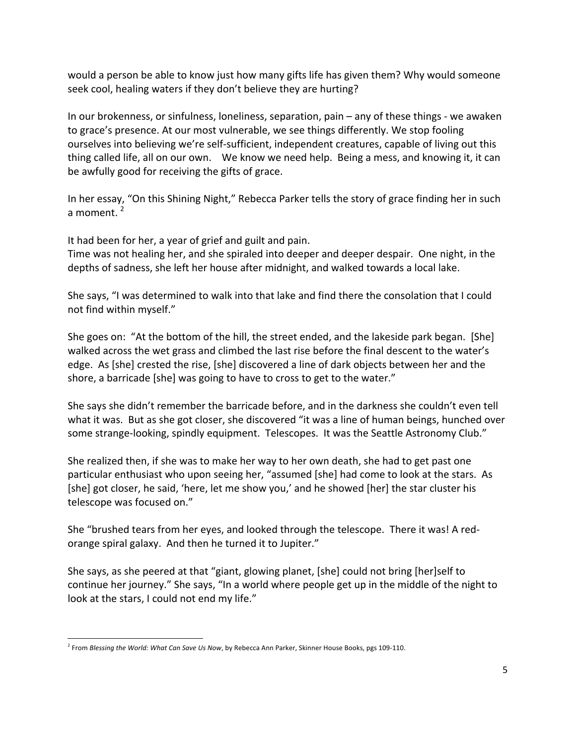would a person be able to know just how many gifts life has given them? Why would someone seek cool, healing waters if they don't believe they are hurting?

In our brokenness, or sinfulness, loneliness, separation, pain – any of these things - we awaken to grace's presence. At our most vulnerable, we see things differently. We stop fooling ourselves into believing we're self-sufficient, independent creatures, capable of living out this thing called life, all on our own. We know we need help. Being a mess, and knowing it, it can be awfully good for receiving the gifts of grace.

In her essay, "On this Shining Night," Rebecca Parker tells the story of grace finding her in such a moment.<sup>2</sup>

It had been for her, a year of grief and guilt and pain.

Time was not healing her, and she spiraled into deeper and deeper despair. One night, in the depths of sadness, she left her house after midnight, and walked towards a local lake.

She says, "I was determined to walk into that lake and find there the consolation that I could not find within myself."

She goes on: "At the bottom of the hill, the street ended, and the lakeside park began. [She] walked across the wet grass and climbed the last rise before the final descent to the water's edge." As [she] crested the rise, [she] discovered a line of dark objects between her and the shore, a barricade [she] was going to have to cross to get to the water."

She says she didn't remember the barricade before, and in the darkness she couldn't even tell what it was. But as she got closer, she discovered "it was a line of human beings, hunched over some strange-looking, spindly equipment. Telescopes. It was the Seattle Astronomy Club."

She realized then, if she was to make her way to her own death, she had to get past one particular enthusiast who upon seeing her, "assumed [she] had come to look at the stars. As [she] got closer, he said, 'here, let me show you,' and he showed [her] the star cluster his telescope was focused on."

She "brushed tears from her eyes, and looked through the telescope. There it was! A redorange spiral galaxy. And then he turned it to Jupiter."

She says, as she peered at that "giant, glowing planet, [she] could not bring [her]self to continue her journey." She says, "In a world where people get up in the middle of the night to look at the stars, I could not end my life."

<sup>&</sup>quot;""""""""""""""""""""""""""""""""""""""""""""""""""""""""""" <sup>2</sup> From *Blessing the World: What Can Save Us Now*, by Rebecca Ann Parker, Skinner House Books, pgs 109-110.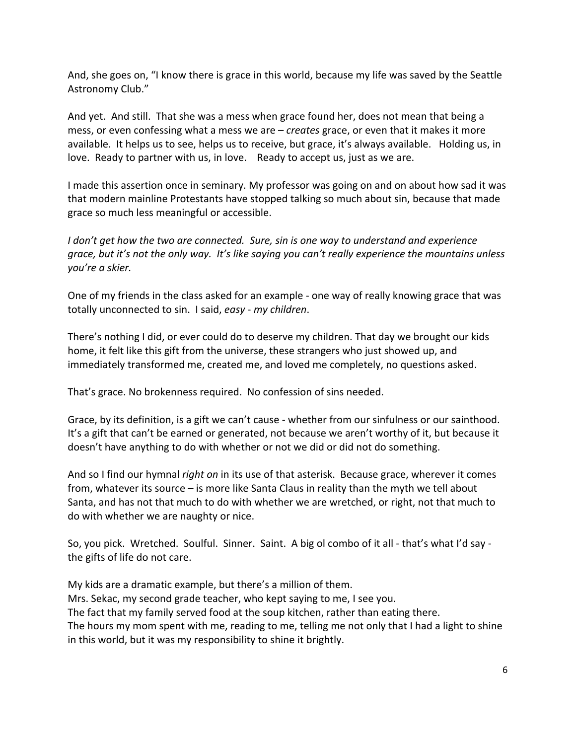And, she goes on, "I know there is grace in this world, because my life was saved by the Seattle Astronomy Club."

And yet. And still. That she was a mess when grace found her, does not mean that being a mess, or even confessing what a mess we are – *creates* grace, or even that it makes it more available. It helps us to see, helps us to receive, but grace, it's always available. Holding us, in love. Ready to partner with us, in love. Ready to accept us, just as we are.

I made this assertion once in seminary. My professor was going on and on about how sad it was that modern mainline Protestants have stopped talking so much about sin, because that made grace so much less meaningful or accessible.

*I* don't get how the two are connected. Sure, sin is one way to understand and experience *grace, but it's not the only way. It's like saying you can't really experience the mountains unless you're a skier.* 

One of my friends in the class asked for an example - one way of really knowing grace that was totally unconnected to sin. I said, easy - my children.

There's nothing I did, or ever could do to deserve my children. That day we brought our kids home, it felt like this gift from the universe, these strangers who just showed up, and immediately transformed me, created me, and loved me completely, no questions asked.

That's grace. No brokenness required. No confession of sins needed.

Grace, by its definition, is a gift we can't cause - whether from our sinfulness or our sainthood. It's a gift that can't be earned or generated, not because we aren't worthy of it, but because it doesn't have anything to do with whether or not we did or did not do something.

And so I find our hymnal *right on* in its use of that asterisk. Because grace, wherever it comes from, whatever its source – is more like Santa Claus in reality than the myth we tell about Santa, and has not that much to do with whether we are wretched, or right, not that much to do with whether we are naughty or nice.

So, you pick. Wretched. Soulful. Sinner. Saint. A big ol combo of it all - that's what I'd say the gifts of life do not care.

My kids are a dramatic example, but there's a million of them. Mrs. Sekac, my second grade teacher, who kept saying to me, I see you. The fact that my family served food at the soup kitchen, rather than eating there. The hours my mom spent with me, reading to me, telling me not only that I had a light to shine in this world, but it was my responsibility to shine it brightly.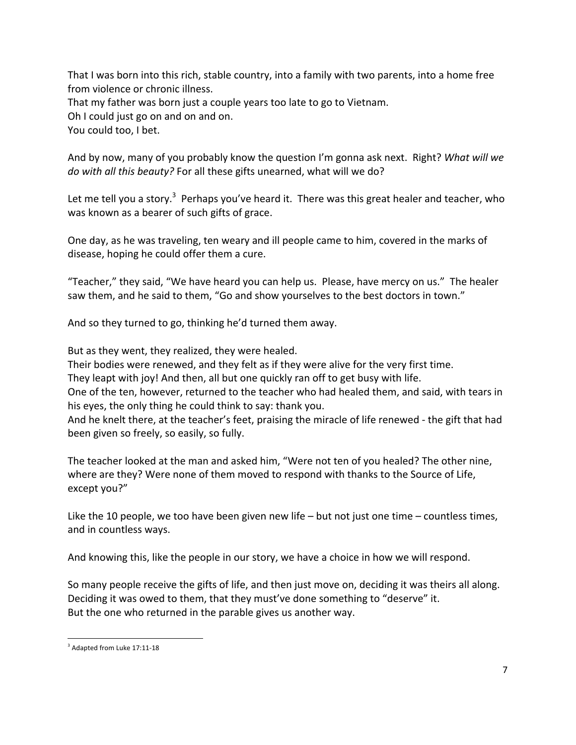That I was born into this rich, stable country, into a family with two parents, into a home free from violence or chronic illness.

That my father was born just a couple years too late to go to Vietnam. Oh I could just go on and on and on. You could too, I bet.

And by now, many of you probably know the question I'm gonna ask next. Right? What will we *do with all this beauty?* For all these gifts unearned, what will we do?

Let me tell you a story.<sup>3</sup> Perhaps you've heard it. There was this great healer and teacher, who was known as a bearer of such gifts of grace.

One day, as he was traveling, ten weary and ill people came to him, covered in the marks of disease, hoping he could offer them a cure.

"Teacher," they said, "We have heard you can help us. Please, have mercy on us." The healer saw them, and he said to them, "Go and show yourselves to the best doctors in town."

And so they turned to go, thinking he'd turned them away.

But as they went, they realized, they were healed.

Their bodies were renewed, and they felt as if they were alive for the very first time.

They leapt with joy! And then, all but one quickly ran off to get busy with life.

One of the ten, however, returned to the teacher who had healed them, and said, with tears in his eyes, the only thing he could think to say: thank you.

And he knelt there, at the teacher's feet, praising the miracle of life renewed - the gift that had been given so freely, so easily, so fully.

The teacher looked at the man and asked him, "Were not ten of you healed? The other nine, where are they? Were none of them moved to respond with thanks to the Source of Life, except you?"

Like the 10 people, we too have been given new life – but not just one time – countless times, and in countless ways.

And knowing this, like the people in our story, we have a choice in how we will respond.

So many people receive the gifts of life, and then just move on, deciding it was theirs all along. Deciding it was owed to them, that they must've done something to "deserve" it. But the one who returned in the parable gives us another way.

<sup>&</sup>quot;"""""""""""""""""""""""""""""""""""""""""""""""""""""""""""  $3$  Adapted from Luke 17:11-18